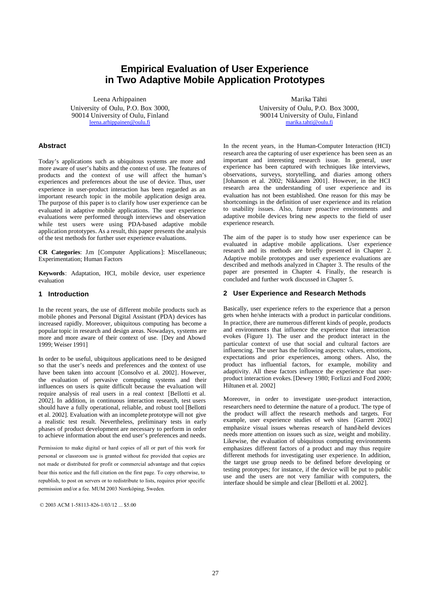# **Empirical Evaluation of User Experience in Two Adaptive Mobile Application Prototypes**

Leena Arhippainen University of Oulu, P.O. Box 3000, 90014 University of Oulu, Finland leena.arhippainen@oulu.fi

### **Abstract**

Today's applications such as ubiquitous systems are more and more aware of user's habits and the context of use. The features of products and the context of use will affect the human's experiences and preferences about the use of device. Thus, user experience in user-product interaction has been regarded as an important research topic in the mobile application design area. The purpose of this paper is to clarify how user experience can be evaluated in adaptive mobile applications. The user experience evaluations were performed through interviews and observation while test users were using PDA-based adaptive mobile application prototypes. As a result, this paper presents the analysis of the test methods for further user experience evaluations.

**CR Categories**: J.m [Computer Applications]: Miscellaneous; Experimentation; Human Factors

**Keywords**: Adaptation, HCI, mobile device, user experience evaluation

### **1 Introduction**

In the recent years, the use of different mobile products such as mobile phones and Personal Digital Assistant (PDA) devices has increased rapidly. Moreover, ubiquitous computing has become a popular topic in research and design areas. Nowadays, systems are more and more aware of their context of use. [Dey and Abowd 1999; Weiser 1991]

In order to be useful, ubiquitous applications need to be designed so that the user's needs and preferences and the context of use have been taken into account [Consolvo et al. 2002]. However, the evaluation of pervasive computing systems and their influences on users is quite difficult because the evaluation will require analysis of real users in a real context [Bellotti et al. 2002]. In addition, in continuous interaction research, test users should have a fully operational, reliable, and robust tool [Bellotti et al. 2002]. Evaluation with an incomplete prototype will not give a realistic test result. Nevertheless, preliminary tests in early phases of product development are necessary to perform in order to achieve information about the end user's preferences and needs.

Permission to make digital or hard copies of all or part of this work for personal or classroom use is granted without fee provided that copies are not made or distributed for profit or commercial advantage and that copies bear this notice and the full citation on the first page. To copy otherwise, to republish, to post on servers or to redistribute to lists, requires prior specific permission and/or a fee. MUM 2003 Norrköping, Sweden.

© 2003 ACM 1-58113-826-1/03/12 ... \$5.00

Marika Tähti University of Oulu, P.O. Box 3000, 90014 University of Oulu, Finland marika.tahti@oulu.fi

In the recent years, in the Human-Computer Interaction (HCI) research area the capturing of user experience has been seen as an important and interesting research issue. In general, user experience has been captured with techniques like interviews, observations, surveys, storytelling, and diaries among others [Johanson et al. 2002; Nikkanen 2001]. However, in the HCI research area the understanding of user experience and its evaluation has not been established. One reason for this may be shortcomings in the definition of user experience and its relation to usability issues. Also, future proactive environments and adaptive mobile devices bring new aspects to the field of user experience research.

The aim of the paper is to study how user experience can be evaluated in adaptive mobile applications. User experience research and its methods are briefly present ed in Chapter 2. Adaptive mobile prototypes and user experience evaluations are described and methods analyzed in Chapter 3. The results of the paper are presented in Chapter 4. Finally, the research is concluded and further work discussed in Chapter 5.

### **2 User Experience and Research Methods**

Basically, user experience refers to the experience that a person gets when he/she interacts with a product in particular conditions. In practice, there are numerous different kinds of people, products and environments that influence the experience that interaction evokes (Figure 1). The user and the product interact in the particular context of use that social and cultural factors are influencing. The user has the following aspects: values, emotions, expectations and prior experiences, among others. Also, the product has influential factors, for example, mobility and adaptivity. All these factors influence the experience that userproduct interaction evokes. [Dewey 1980; Forlizzi and Ford 2000; Hiltunen et al. 2002]

Moreover, in order to investigate user-product interaction, researchers need to determine the nature of a product. The type of the product will affect the research methods and targets. For example, user experience studies of web sites [Garrett 2002] emphasize visual issues whereas research of hand-held devices needs more attention on issues such as size, weight and mobility. Likewise, the evaluation of ubiquitous computing environments emphasizes different factors of a product and may thus require different methods for investigating user experience. In addition, the target use group needs to be defined before developing or testing prototypes; for instance, if the device will be put to public use and the users are not very familiar with computers, the interface should be simple and clear [Bellotti et al. 2002].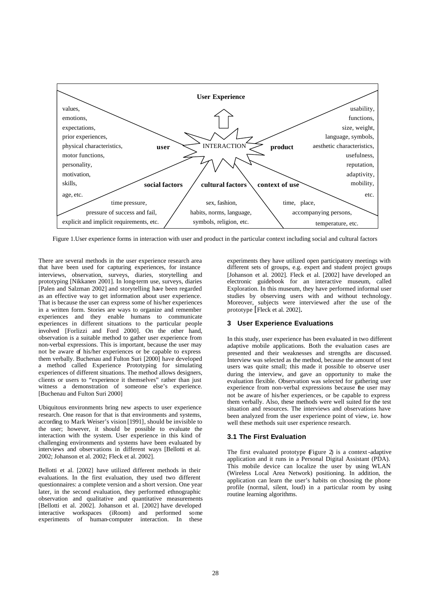

Figure 1.User experience forms in interaction with user and product in the particular context including social and cultural factors

There are several methods in the user experience research area that have been used for capturing experiences, for instance interviews, observation, surveys, diaries, storytelling and prototyping [Nikkanen 2001]. In long-term use, surveys, diaries [Palen and Salzman 2002] and storytelling have been regarded as an effective way to get information about user experience. That is because the user can express some of his/her experiences in a written form. Stories are ways to organize and remember experiences and they enable humans to communicate experiences in different situations to the particular people involved [Forlizzi and Ford 2000]. On the other hand, observation is a suitable method to gather user experience from non-verbal expressions. This is important, because the user may not be aware of his/her experiences or be capable to express them verbally. Buchenau and Fulton Suri [2000] have developed a method called Experience Prototyping for simulating experiences of different situations. The method allows designers, clients or users to "experience it themselves" rather than just witness a demonstration of someone else's experience. [Buchenau and Fulton Suri 2000]

Ubiquitous environments bring new aspects to user experience research. One reason for that is that environments and systems, according to Mark Weiser's vision [1991], should be invisible to the user; however, it should be possible to evaluate the interaction with the system. User experience in this kind of challenging environments and systems have been evaluated by interviews and observations in different ways [Bellotti et al. 2002; Johanson et al. 2002; Fleck et al. 2002].

Bellotti et al. [2002] have utilized different methods in their evaluations. In the first evaluation, they used two different questionnaires: a complete version and a short version. One year later, in the second evaluation, they performed ethnographic observation and qualitative and quantitative measurements [Bellotti et al. 2002]. Johanson et al. [2002] have developed interactive workspaces (iRoom) and performed some experiments of human-computer interaction. In these

experiments they have utilized open participatory meetings with different sets of groups, e.g. expert and student project groups [Johanson et al. 2002]. Fleck et al. [2002] have developed an electronic guidebook for an interactive museum, called Exploration. In this museum, they have performed informal user studies by observing users with and without technology. Moreover, subjects were interviewed after the use of the prototype [Fleck et al. 2002].

# **3 User Experience Evaluations**

In this study, user experience has been evaluated in two different adaptive mobile applications. Both the evaluation cases are presented and their weaknesses and strengths are discussed. Interview was selected as the method, because the amount of test users was quite small; this made it possible to observe user during the interview, and gave an opportunity to make the evaluation flexible. Observation was selected for gathering user experience from non-verbal expressions because the user may not be aware of his/her experiences, or be capable to express them verbally. Also, these methods were well suited for the test situation and resources. The interviews and observations have been analyzed from the user experience point of view, i.e. how well these methods suit user experience research.

# **3.1 The First Evaluation**

The first evaluated prototype Figure 2) is a context-adaptive application and it runs in a Personal Digital Assistant (PDA). This mobile device can localize the user by using WLAN (Wireless Local Area Network) positioning. In addition, the application can learn the user's habits on choosing the phone profile (normal, silent, loud) in a particular room by using routine learning algorithms.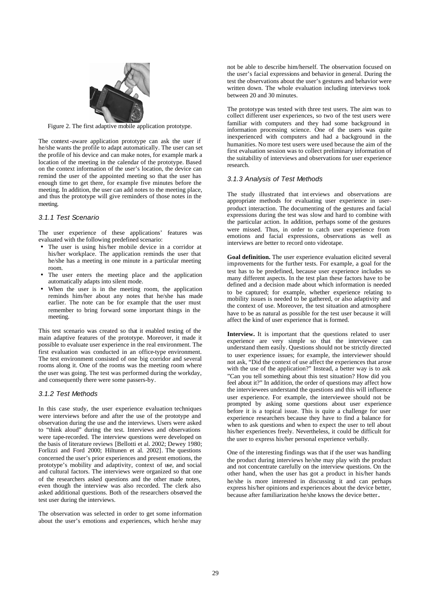

Figure 2. The first adaptive mobile application prototype.

The context-aware application prototype can ask the user if he/she wants the profile to adapt automatically. The user can set the profile of his device and can make notes, for example mark a location of the meeting in the calendar of the prototype. Based on the context information of the user's location, the device can remind the user of the appointed meeting so that the user has enough time to get there, for example five minutes before the meeting. In addition, the user can add notes to the meeting place, and thus the prototype will give reminders of those notes in the meeting.

## *3.1.1 Test Scenario*

The user experience of these applications' features was evaluated with the following predefined scenario:

- The user is using his/her mobile device in a corridor at his/her workplace. The application reminds the user that he/she has a meeting in one minute in a particular meeting room.
- The user enters the meeting place and the application automatically adapts into silent mode.
- When the user is in the meeting room, the application reminds him/her about any notes that he/she has made earlier. The note can be for example that the user must remember to bring forward some important things in the meeting.

This test scenario was created so that it enabled testing of the main adaptive features of the prototype. Moreover, it made it possible to evaluate user experience in the real environment. The first evaluation was conducted in an office-type environment. The test environment consisted of one big corridor and several rooms along it. One of the rooms was the meeting room where the user was going. The test was performed during the workday, and consequently there were some passers-by.

## *3.1.2 Test Methods*

In this case study, the user experience evaluation techniques were interviews before and after the use of the prototype and observation during the use and the interviews. Users were asked to "think aloud" during the test. Interviews and observations were tape-recorded. The interview questions were developed on the basis of literature reviews [Bellotti et al. 2002; Dewey 1980; Forlizzi and Ford 2000; Hiltunen et al. 2002]. The questions concerned the user's prior experiences and present emotions, the prototype's mobility and adaptivity, context of use, and social and cultural factors. The interviews were organized so that one of the researchers asked questions and the other made notes, even though the interview was also recorded. The clerk also asked additional questions. Both of the researchers observed the test user during the interviews.

The observation was selected in order to get some information about the user's emotions and experiences, which he/she may

not be able to describe him/herself. The observation focused on the user's facial expressions and behavior in general. During the test the observations about the user's gestures and behavior were written down. The whole evaluation including interviews took between 20 and 30 minutes.

The prototype was tested with three test users. The aim was to collect different user experiences, so two of the test users were familiar with computers and they had some background in information processing science. One of the users was quite inexperienced with computers and had a background in the humanities. No more test users were used because the aim of the first evaluation session was to collect preliminary information of the suitability of interviews and observations for user experience research.

#### *3.1.3 Analysis of Test Methods*

The study illustrated that int erviews and observations are appropriate methods for evaluating user experience in userproduct interaction. The documenting of the gestures and facial expressions during the test was slow and hard to combine with the particular action. In addition, perhaps some of the gestures were missed. Thus, in order to catch user experience from emotions and facial expressions, observations as well as interviews are better to record onto videotape.

**Goal definition.** The user experience evaluation elicited several improvements for the further tests. For example, a goal for the test has to be predefined, because user experience includes so many different aspects. In the test plan these factors have to be defined and a decision made about which information is needed to be captured; for example, whether experience relating to mobility issues is needed to be gathered, or also adaptivity and the context of use. Moreover, the test situation and atmosphere have to be as natural as possible for the test user because it will affect the kind of user experience that is formed.

**Interview.** It is important that the questions related to user experience are very simple so that the interviewee can understand them easily. Questions should not be strictly directed to user experience issues; for example, the interviewer should not ask, "Did the context of use affect the experiences that arose with the use of the application?" Instead, a better way is to ask "Can you tell something about this test situation? How did you feel about it?" In addition, the order of questions may affect how the interviewees understand the questions and this will influence user experience. For example, the interviewee should not be prompted by asking some questions about user experience before it is a topical issue. This is quite a challenge for user experience researchers because they have to find a balance for when to ask questions and when to expect the user to tell about his/her experiences freely. Nevertheless, it could be difficult for the user to express his/her personal experience verbally.

One of the interesting findings was that if the user was handling the product during interviews he/she may play with the product and not concentrate carefully on the interview questions. On the other hand, when the user has got a product in his/her hands he/she is more interested in discussing it and can perhaps express his/her opinions and experiences about the device better, because after familiarization he/she knows the device better.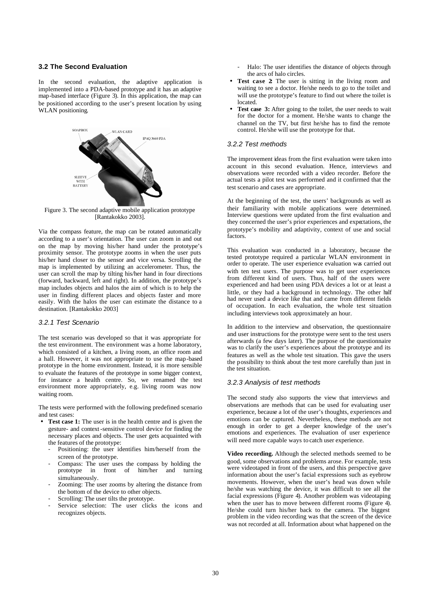## **3.2 The Second Evaluation**

In the second evaluation, the adaptive application is implemented into a PDA-based prototype and it has an adaptive map-based interface (Figure 3). In this application, the map can be positioned according to the user's present location by using WLAN positioning.



Figure 3. The second adaptive mobile application prototype [Rantakokko 2003].

Via the compass feature, the map can be rotated automatically according to a user's orientation. The user can zoom in and out on the map by moving his/her hand under the prototype's proximity sensor. The prototype zooms in when the user puts his/her hand closer to the sensor and vice versa. Scrolling the map is implemented by utilizing an accelerometer. Thus, the user can scroll the map by tilting his/her hand in four directions (forward, backward, left and right). In addition, the prototype's map includes objects and halos the aim of which is to help the user in finding different places and objects faster and more easily. With the halos the user can estimate the distance to a destination. [Rantakokko 2003]

## *3.2.1 Test Scenario*

The test scenario was developed so that it was appropriate for the test environment. The environment was a home laboratory, which consisted of a kitchen, a living room, an office room and a hall. However, it was not appropriate to use the map-based prototype in the home environment. Instead, it is more sensible to evaluate the features of the prototype in some bigger context, for instance a health centre. So, we renamed the test environment more appropriately, e.g. living room was now waiting room.

The tests were performed with the following predefined scenario and test cases:

- **Test case 1:** The user is in the health centre and is given the gesture- and context-sensitive control device for finding the necessary places and objects. The user gets acquainted with the features of the prototype:
	- Positioning: the user identifies him/herself from the screen of the prototype.
	- Compass: The user uses the compass by holding the prototype in front of him/her and turning prototype in front of him/her and turning simultaneously.
	- Zooming: The user zooms by altering the distance from the bottom of the device to other objects.
	- Scrolling: The user tilts the prototype.
	- Service selection: The user clicks the icons and recognizes objects.
- Halo: The user identifies the distance of objects through the arcs of halo circles.
- **Test case 2:** The user is sitting in the living room and waiting to see a doctor. He/she needs to go to the toilet and will use the prototype's feature to find out where the toilet is located.
- **Test case 3:** After going to the toilet, the user needs to wait for the doctor for a moment. He/she wants to change the channel on the TV, but first he/she has to find the remote control. He/she will use the prototype for that.

#### *3.2.2 Test methods*

The improvement ideas from the first evaluation were taken into account in this second evaluation. Hence, interviews and observations were recorded with a video recorder. Before the actual tests a pilot test was performed and it confirmed that the test scenario and cases are appropriate.

At the beginning of the test, the users' backgrounds as well as their familiarity with mobile applications were determined. Interview questions were updated from the first evaluation and they concerned the user's prior experiences and expectations, the prototype's mobility and adaptivity, context of use and social factors.

This evaluation was conducted in a laboratory, because the tested prototype required a particular WLAN environment in order to operate. The user experience evaluation was carried out with ten test users. The purpose was to get user experiences from different kind of users. Thus, half of the users were experienced and had been using PDA devices a lot or at least a little, or they had a background in technology. The other half had never used a device like that and came from different fields of occupation. In each evaluation, the whole test situation including interviews took approximately an hour.

In addition to the interview and observation, the questionnaire and user instructions for the prototype were sent to the test users afterwards (a few days later). The purpose of the questionnaire was to clarify the user's experiences about the prototype and its features as well as the whole test situation. This gave the users the possibility to think about the test more carefully than just in the test situation.

#### *3.2.3 Analysis of test methods*

The second study also supports the view that interviews and observations are methods that can be used for evaluating user experience, because a lot of the user's thoughts, experiences and emotions can be captured. Nevertheless, these methods are not enough in order to get a deeper knowledge of the user's emotions and experiences. The evaluation of user experience will need more capable ways to catch user experience.

**Video recording.** Although the selected methods seemed to be good, some observations and problems arose. For example, tests were videotaped in front of the users, and this perspective gave information about the user's facial expressions such as eyebrow movements. However, when the user's head was down while he/she was watching the device, it was difficult to see all the facial expressions (Figure 4). Another problem was videotaping when the user has to move between different rooms (Figure 4). He/she could turn his/her back to the camera. The biggest problem in the video recording was that the screen of the device was not recorded at all. Information about what happened on the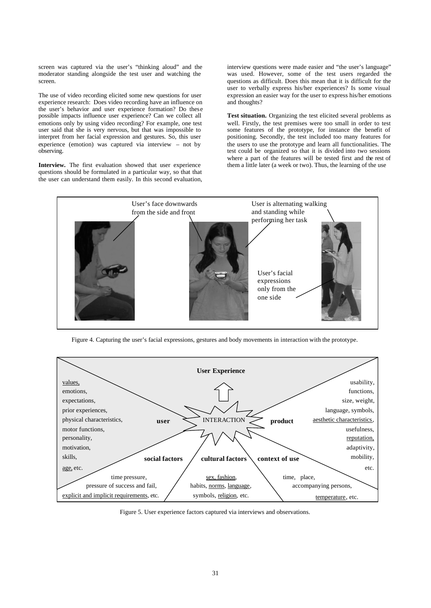screen was captured via the user's "thinking aloud" and the moderator standing alongside the test user and watching the screen.

The use of video recording elicited some new questions for user experience research: Does video recording have an influence on the user's behavior and user experience formation? Do these possible impacts influence user experience? Can we collect all emotions only by using video recording? For example, one test user said that she is very nervous, but that was impossible to interpret from her facial expression and gestures. So, this user experience (emotion) was captured via interview – not by observing.

**Interview.** The first evaluation showed that user experience questions should be formulated in a particular way, so that that the user can understand them easily. In this second evaluation, interview questions were made easier and "the user's language" was used. However, some of the test users regarded the questions as difficult. Does this mean that it is difficult for the user to verbally express his/her experiences? Is some visual expression an easier way for the user to express his/her emotions and thoughts?

**Test situation.** Organizing the test elicited several problems as well. Firstly, the test premises were too small in order to test some features of the prototype, for instance the benefit of positioning. Secondly, the test included too many features for the users to use the prototype and learn all functionalities. The test could be organized so that it is divided into two sessions where a part of the features will be tested first and the rest of them a little later (a week or two). Thus, the learning of the use



Figure 4. Capturing the user's facial expressions, gestures and body movements in interaction with the prototype.



Figure 5. User experience factors captured via interviews and observations.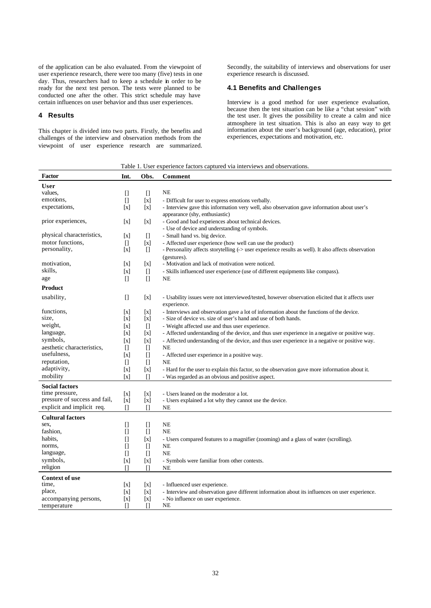of the application can be also evaluated. From the viewpoint of user experience research, there were too many (five) tests in one day. Thus, researchers had to keep a schedule in order to be ready for the next test person. The tests were planned to be conducted one after the other. This strict schedule may have certain influences on user behavior and thus user experiences.

## **4 Results**

This chapter is divided into two parts. Firstly, the benefits and challenges of the interview and observation methods from the viewpoint of user experience research are summarized.

Secondly, the suitability of interviews and observations for user experience research is discussed.

## **4.1 Benefits and Challenges**

Interview is a good method for user experience evaluation, because then the test situation can be like a "chat session" with the test user. It gives the possibility to create a calm and nice atmosphere in test situation. This is also an easy way to get information about the user's background (age, education), prior experiences, expectations and motivation, etc.

Table 1. User experience factors captured via interviews and observations.

| Factor                        | Int.                                                                                                                                                                                                                                                                                                                                                                 | Obs.                                                                                                                                                                                     | <b>Comment</b>                                                                                       |
|-------------------------------|----------------------------------------------------------------------------------------------------------------------------------------------------------------------------------------------------------------------------------------------------------------------------------------------------------------------------------------------------------------------|------------------------------------------------------------------------------------------------------------------------------------------------------------------------------------------|------------------------------------------------------------------------------------------------------|
| <b>User</b>                   |                                                                                                                                                                                                                                                                                                                                                                      |                                                                                                                                                                                          |                                                                                                      |
| values,                       | П                                                                                                                                                                                                                                                                                                                                                                    | $\Box$                                                                                                                                                                                   | NE                                                                                                   |
| emotions,                     | $\Box$                                                                                                                                                                                                                                                                                                                                                               | $\left[x\right]$                                                                                                                                                                         | - Difficult for user to express emotions verbally.                                                   |
| expectations,                 | [x]                                                                                                                                                                                                                                                                                                                                                                  | $\lceil x \rceil$                                                                                                                                                                        | - Interview gave this information very well, also observation gave information about user's          |
|                               |                                                                                                                                                                                                                                                                                                                                                                      |                                                                                                                                                                                          | appearance (shy, enthusiastic)                                                                       |
| prior experiences,            | [x]                                                                                                                                                                                                                                                                                                                                                                  | [x]                                                                                                                                                                                      | - Good and bad experiences about technical devices.                                                  |
|                               |                                                                                                                                                                                                                                                                                                                                                                      |                                                                                                                                                                                          | - Use of device and understanding of symbols.                                                        |
| physical characteristics,     | [x]                                                                                                                                                                                                                                                                                                                                                                  |                                                                                                                                                                                          | - Small hand vs. big device.                                                                         |
| motor functions.              | $\Box$                                                                                                                                                                                                                                                                                                                                                               | $\lceil x \rceil$                                                                                                                                                                        | - Affected user experience (how well can use the product)                                            |
| personality,                  | $\mathbf{x}$                                                                                                                                                                                                                                                                                                                                                         | $\prod$                                                                                                                                                                                  | - Personality affects storytelling (-> user experience results as well). It also affects observation |
|                               |                                                                                                                                                                                                                                                                                                                                                                      |                                                                                                                                                                                          | (gestures).                                                                                          |
| motivation,                   | [x]                                                                                                                                                                                                                                                                                                                                                                  | $\lceil x \rceil$                                                                                                                                                                        | - Motivation and lack of motivation were noticed.                                                    |
| skills,                       | [x]                                                                                                                                                                                                                                                                                                                                                                  | $[$                                                                                                                                                                                      | - Skills influenced user experience (use of different equipments like compass).                      |
| age                           | $\Box$                                                                                                                                                                                                                                                                                                                                                               | $[] \centering \includegraphics[width=0.47\textwidth]{images/TrDiS-Architecture.png} \caption{The 3D (top) and 4D (bottom) are shown in the left and right.} \label{TrDiS-Architecture}$ | <b>NE</b>                                                                                            |
| <b>Product</b>                |                                                                                                                                                                                                                                                                                                                                                                      |                                                                                                                                                                                          |                                                                                                      |
|                               |                                                                                                                                                                                                                                                                                                                                                                      |                                                                                                                                                                                          |                                                                                                      |
| usability,                    | $\Box$                                                                                                                                                                                                                                                                                                                                                               | [x]                                                                                                                                                                                      | - Usability issues were not interviewed/tested, however observation elicited that it affects user    |
|                               |                                                                                                                                                                                                                                                                                                                                                                      |                                                                                                                                                                                          | experience.                                                                                          |
| functions.                    | [x]                                                                                                                                                                                                                                                                                                                                                                  | $\lceil x \rceil$                                                                                                                                                                        | - Interviews and observation gave a lot of information about the functions of the device.            |
| size,                         | ΙxΙ                                                                                                                                                                                                                                                                                                                                                                  | $\lceil x \rceil$                                                                                                                                                                        | - Size of device vs. size of user's hand and use of both hands.                                      |
| weight,                       | [x]                                                                                                                                                                                                                                                                                                                                                                  | $\Box$                                                                                                                                                                                   | - Weight affected use and thus user experience.                                                      |
| language,                     | $\mathbf{x}$                                                                                                                                                                                                                                                                                                                                                         | $\lceil x \rceil$                                                                                                                                                                        | - Affected understanding of the device, and thus user experience in a negative or positive way.      |
| symbols,                      | ΙxΙ                                                                                                                                                                                                                                                                                                                                                                  | $\lceil x \rceil$                                                                                                                                                                        | - Affected understanding of the device, and thus user experience in a negative or positive way.      |
| aesthetic characteristics.    | П                                                                                                                                                                                                                                                                                                                                                                    | $\Box$                                                                                                                                                                                   | <b>NE</b>                                                                                            |
| usefulness.                   | $\lceil x \rceil$                                                                                                                                                                                                                                                                                                                                                    | $[] \centering \includegraphics[width=0.47\textwidth]{images/TrDiS-Architecture.png} \caption{The 3D (top) and 4D (bottom) are shown in the left and right.} \label{TrDiS-Architecture}$ | - Affected user experience in a positive way.                                                        |
| reputation,                   | H                                                                                                                                                                                                                                                                                                                                                                    | $\Box$                                                                                                                                                                                   | <b>NE</b>                                                                                            |
| adaptivity,                   | [x]                                                                                                                                                                                                                                                                                                                                                                  | $\left[ \text{x} \right]$                                                                                                                                                                | - Hard for the user to explain this factor, so the observation gave more information about it.       |
| mobility                      | [x]                                                                                                                                                                                                                                                                                                                                                                  | $\mathsf{L}$                                                                                                                                                                             | - Was regarded as an obvious and positive aspect.                                                    |
| <b>Social factors</b>         |                                                                                                                                                                                                                                                                                                                                                                      |                                                                                                                                                                                          |                                                                                                      |
| time pressure,                | [x]                                                                                                                                                                                                                                                                                                                                                                  | $\lceil x \rceil$                                                                                                                                                                        | - Users leaned on the moderator a lot.                                                               |
| pressure of success and fail, | $\left[ x\right]$                                                                                                                                                                                                                                                                                                                                                    | $\left[ \text{x} \right]$                                                                                                                                                                | - Users explained a lot why they cannot use the device.                                              |
| explicit and implicit req.    | $\mathsf{L}$                                                                                                                                                                                                                                                                                                                                                         | n                                                                                                                                                                                        | <b>NE</b>                                                                                            |
| <b>Cultural factors</b>       |                                                                                                                                                                                                                                                                                                                                                                      |                                                                                                                                                                                          |                                                                                                      |
| sex,                          | $[] \centering \includegraphics[width=0.47\textwidth]{images/TransY_1.png} \caption{The first two different values of $100$ K, $100$ K, $100$ K, $100$ K, $100$ K, $100$ K, $100$ K, $100$ K, $100$ K, $100$ K, $100$ K, $100$ K, $100$ K, $100$ K, $100$ K, $100$ K, $100$ K, $100$ K, $100$ K, $100$ K, $100$ K, $100$ K, $100$ K, $100$ K, $100$ K, $100$ K, $10$ | $[] \centering \includegraphics[width=0.47\textwidth]{images/TrDiS-Architecture.png} \caption{The 3D (top) and 4D (bottom) are shown in the left and right.} \label{TrDiS-Architecture}$ | <b>NE</b>                                                                                            |
| fashion.                      | П                                                                                                                                                                                                                                                                                                                                                                    | П                                                                                                                                                                                        | <b>NE</b>                                                                                            |
| habits.                       | П                                                                                                                                                                                                                                                                                                                                                                    | $\lceil x \rceil$                                                                                                                                                                        | - Users compared features to a magnifier (zooming) and a glass of water (scrolling).                 |
| norms.                        | П                                                                                                                                                                                                                                                                                                                                                                    | $\Box$                                                                                                                                                                                   | NE                                                                                                   |
| language,                     | $\Box$                                                                                                                                                                                                                                                                                                                                                               | $[] \centering \includegraphics[width=0.47\textwidth]{images/TrDiS-Architecture.png} \caption{The 3D (top) and 4D (bottom) are shown in the left and right.} \label{TrDiS-Architecture}$ | <b>NE</b>                                                                                            |
| symbols,                      | [x]                                                                                                                                                                                                                                                                                                                                                                  | $\left[ \text{x} \right]$                                                                                                                                                                | - Symbols were familiar from other contexts.                                                         |
| religion                      | П                                                                                                                                                                                                                                                                                                                                                                    | n                                                                                                                                                                                        | NE                                                                                                   |
|                               |                                                                                                                                                                                                                                                                                                                                                                      |                                                                                                                                                                                          |                                                                                                      |
| <b>Context of use</b>         |                                                                                                                                                                                                                                                                                                                                                                      |                                                                                                                                                                                          |                                                                                                      |
| time,                         | [x]                                                                                                                                                                                                                                                                                                                                                                  | $\lceil x \rceil$                                                                                                                                                                        | - Influenced user experience.                                                                        |
| place,                        | [x]                                                                                                                                                                                                                                                                                                                                                                  | $\left[ \text{x} \right]$                                                                                                                                                                | - Interview and observation gave different information about its influences on user experience.      |
| accompanying persons,         | $\left[ x\right]$                                                                                                                                                                                                                                                                                                                                                    | $\left[ \text{x} \right]$                                                                                                                                                                | - No influence on user experience.<br>NE                                                             |
| temperature                   | $\Box$                                                                                                                                                                                                                                                                                                                                                               | $\Box$                                                                                                                                                                                   |                                                                                                      |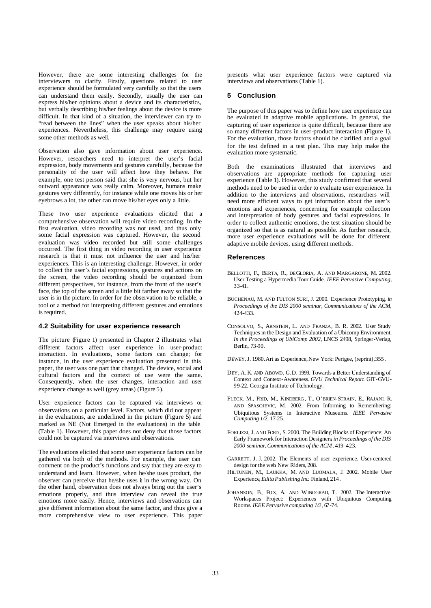However, there are some interesting challenges for the interviewers to clarify. Firstly, questions related to user experience should be formulated very carefully so that the users can understand them easily. Secondly, usually the user can express his/her opinions about a device and its characteristics, but verbally describing his/her feelings about the device is more difficult. In that kind of a situation, the interviewer can try to "read between the lines" when the user speaks about his/her experiences. Nevertheless, this challenge may require using some other methods as well.

Observation also gave information about user experience. However, researchers need to interpret the user's facial expression, body movements and gestures carefully, because the personality of the user will affect how they behave. For example, one test person said that she is very nervous, but her outward appearance was really calm. Moreover, humans make gestures very differently, for instance while one moves his or her eyebrows a lot, the other can move his/her eyes only a little.

These two user experience evaluations elicited that a comprehensive observation will require video recording. In the first evaluation, video recording was not used, and thus only some facial expression was captured. However, the second evaluation was video recorded but still some challenges occurred. The first thing in video recording in user experience research is that it must not influence the user and his/her experiences. This is an interesting challenge. However, in order to collect the user's facial expressions, gestures and actions on the screen, the video recording should be organized from different perspectives, for instance, from the front of the user's face, the top of the screen and a little bit farther away so that the user is in the picture. In order for the observation to be reliable, a tool or a method for interpreting different gestures and emotions is required.

#### **4.2 Suitability for user experience research**

The picture (Figure 1) presented in Chapter 2 illustrates what different factors affect user experience in user-product interaction. In evaluations, some factors can change; for instance, in the user experience evaluation presented in this paper, the user was one part that changed. The device, social and cultural factors and the context of use were the same. Consequently, when the user changes, interaction and user experience change as well (grey areas) (Figure 5).

User experience factors can be captured via interviews or observations on a particular level. Factors, which did not appear in the evaluations, are underlined in the picture (Figure 5) and marked as NE (Not Emerged in the evaluations) in the table (Table 1). However, this paper does not deny that those factors could not be captured via interviews and observations.

The evaluations elicited that some user experience factors can be gathered via both of the methods. For example, the user can comment on the product's functions and say that they are easy to understand and learn. However, when he/she uses product, the observer can perceive that he/she uses  $\dot{\mathbf{t}}$  in the wrong way. On the other hand, observation does not always bring out the user's emotions properly, and thus interview can reveal the true emotions more easily. Hence, interviews and observations can give different information about the same factor, and thus give a more comprehensive view to user experience. This paper presents what user experience factors were captured via interviews and observations (Table 1).

#### **5 Conclusion**

The purpose of this paper was to define how user experience can be evaluated in adaptive mobile applications. In general, the capturing of user experience is quite difficult, because there are so many different factors in user-product interaction (Figure 1). For the evaluation, those factors should be clarified and a goal for the test defined in a test plan. This may help make the evaluation more systematic.

Both the examinations illustrated that interviews and observations are appropriate methods for capturing user experience (Table 1). However, this study confirmed that several methods need to be used in order to evaluate user experience. In addition to the interviews and observations, researchers will need more efficient ways to get information about the user's emotions and experiences, concerning for example collection and interpretation of body gestures and facial expressions. In order to collect authentic emotions, the test situation should be organized so that is as natural as possible. As further research, more user experience evaluations will be done for different adaptive mobile devices, using different methods.

#### **References**

- BELLOTTI, F., BERTA, R., DEGLORIA, A. AND MARGARONE, M. 2002. User Testing a Hypermedia Tour Guide*. IEEE Pervasive Computing,*  33-41*.*
- BUCHENAU, M. AND FULTON SURI, J. 2000. Experience Prototyping, *in Proceedings of the DIS 2000 seminar, Communications of the ACM,* 424-433.
- CONSOLVO, S., ARNSTEIN , L. AND FRANZA, B. R. 2002. User Study Techniques in the Design and Evaluation of a Ubicomp Environment. *In the Proceedings of UbiComp 2002,* LNCS 2498, Springer-Verlag, Berlin, 73-90.

DEWEY, J. 1980. Art as Experience, New York: Perigee, (reprint), 355.

- DEY, A. K. AND ABOWD, G.D. 1999. Towards a Better Understanding of Context and Context-Awareness. *GVU Technical Report*. GIT-GVU-99-22. Georgia Institute of Technology.
- FLECK, M., FRID, M., KINDBERG , T., O'BRIEN-STRAIN, E., RAJANI, R. AND SPASOJEVIC, M. 2002. From Informing to Remembering: Ubiquitous Systems in Interactive Museums. *IEEE Pervasive Computing 1/2*, 17-25.
- FORLIZZI, J. AND FORD , S. 2000. The Building Blocks of Experience: An Early Framework for Interaction Designers, *in Proceedings of the DIS 2000 seminar*, *Communications of the ACM*, 419–423.
- GARRETT, J. J. 2002. The Elements of user experience. User-centered design for the web. New Riders, 208.
- HILTUNEN, M., LAUKKA, M. AND LUOMALA, J. 2002. Mobile User Experience,*Edita Publishing Inc*. Finland, 214.
- JOHANSON, B., FOX, A. AND WINOGRAD, T. 2002. The Interactive Workspaces Project: Experiences with Ubiquitous Computing Rooms. *IEEE Pervasive computing 1/2*, 67-74.